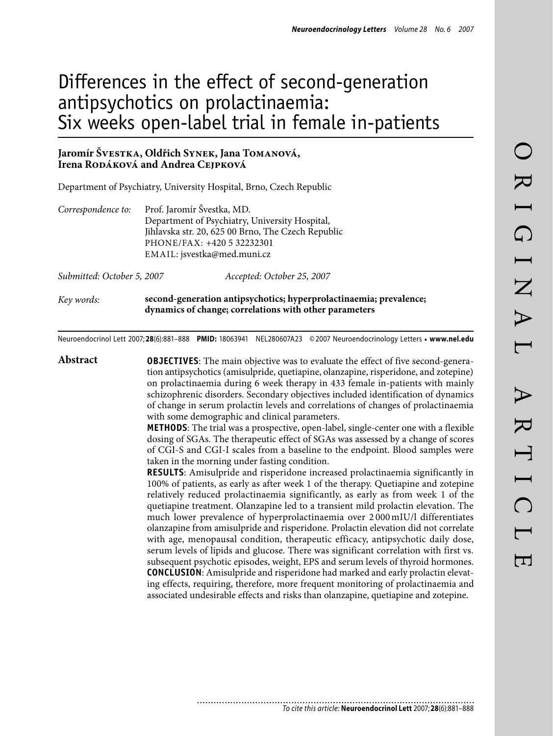# Differences in the effect of second-generation antipsychotics on prolactinaemia: Six weeks open-label trial in female in-patients

# **Jaromír Švestka, Oldřich Synek, Jana Tomanová, Irena Rodáková and Andrea Cejpková**

Department of Psychiatry, University Hospital, Brno, Czech Republic

| Correspondence to:         | Prof. Jaromír Švestka, MD.                     |                                                    |  |  |  |  |
|----------------------------|------------------------------------------------|----------------------------------------------------|--|--|--|--|
|                            | Department of Psychiatry, University Hospital, |                                                    |  |  |  |  |
|                            |                                                | Jihlavska str. 20, 625 00 Brno, The Czech Republic |  |  |  |  |
|                            | PHONE/FAX: +420 5 32232301                     |                                                    |  |  |  |  |
|                            | EMAIL: jsvestka@med.muni.cz                    |                                                    |  |  |  |  |
| Submitted: October 5, 2007 |                                                | Accepted: October 25, 2007                         |  |  |  |  |

*Key words:* **second-generation antipsychotics; hyperprolactinaemia; prevalence; dynamics of change; correlations with other parameters**

Neuroendocrinol Lett 2007; **28**(6):881–888 **PMID:** 18063941 NEL280607A23 ©2007 Neuroendocrinology Letters • **www.nel.edu**

**Abstract OBJECTIVES**: The main objective was to evaluate the effect of five second-generation antipsychotics (amisulpride, quetiapine, olanzapine, risperidone, and zotepine) on prolactinaemia during 6 week therapy in 433 female in-patients with mainly schizophrenic disorders. Secondary objectives included identification of dynamics of change in serum prolactin levels and correlations of changes of prolactinaemia with some demographic and clinical parameters. **METHODS**: The trial was a prospective, open-label, single-center one with a flexible dosing of SGAs. The therapeutic effect of SGAs was assessed by a change of scores of CGI-S and CGI-I scales from a baseline to the endpoint. Blood samples were taken in the morning under fasting condition. **RESULTS**: Amisulpride and risperidone increased prolactinaemia significantly in 100% of patients, as early as after week 1 of the therapy. Quetiapine and zotepine relatively reduced prolactinaemia significantly, as early as from week 1 of the quetiapine treatment. Olanzapine led to a transient mild prolactin elevation. The much lower prevalence of hyperprolactinaemia over 2 000 mIU/l differentiates olanzapine from amisulpride and risperidone. Prolactin elevation did not correlate with age, menopausal condition, therapeutic efficacy, antipsychotic daily dose, serum levels of lipids and glucose. There was significant correlation with first vs. subsequent psychotic episodes, weight, EPS and serum levels of thyroid hormones. **CONCLUSION**: Amisulpride and risperidone had marked and early prolactin elevating effects, requiring, therefore, more frequent monitoring of prolactinaemia and associated undesirable effects and risks than olanzapine, quetiapine and zotepine.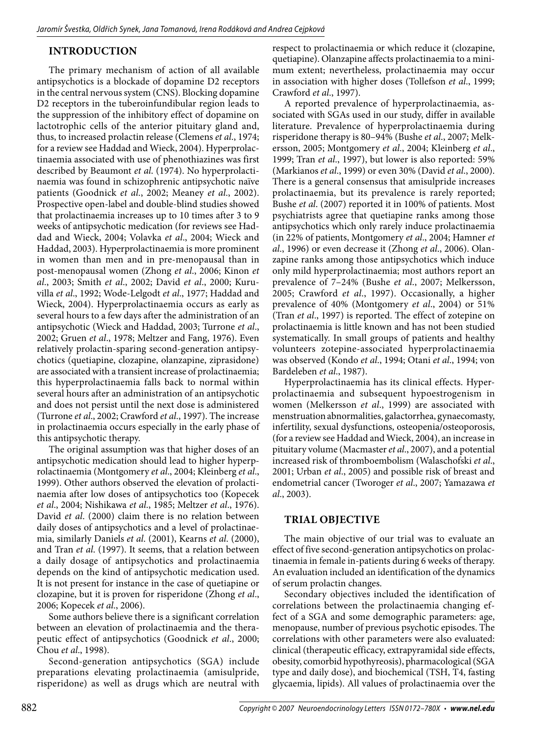# **Introduction**

The primary mechanism of action of all available antipsychotics is a blockade of dopamine D2 receptors in the central nervous system (CNS). Blocking dopamine D2 receptors in the tuberoinfundibular region leads to the suppression of the inhibitory effect of dopamine on lactotrophic cells of the anterior pituitary gland and, thus, to increased prolactin release (Clemens *et al*., 1974; for a review see Haddad and Wieck, 2004). Hyperprolactinaemia associated with use of phenothiazines was first described by Beaumont *et al*. (1974). No hyperprolactinaemia was found in schizophrenic antipsychotic naïve patients (Goodnick *et al*., 2002; Meaney *et al*., 2002). Prospective open-label and double-blind studies showed that prolactinaemia increases up to 10 times after 3 to 9 weeks of antipsychotic medication (for reviews see Haddad and Wieck, 2004; Volavka *et al*., 2004; Wieck and Haddad, 2003). Hyperprolactinaemia is more prominent in women than men and in pre-menopausal than in post-menopausal women (Zhong *et al*., 2006; Kinon *et al*., 2003; Smith *et al*., 2002; David *et al*., 2000; Kuruvilla *et al*., 1992; Wode-Lelgodt *et al*., 1977; Haddad and Wieck, 2004). Hyperprolactinaemia occurs as early as several hours to a few days after the administration of an antipsychotic (Wieck and Haddad, 2003; Turrone *et al*., 2002; Gruen *et al*., 1978; Meltzer and Fang, 1976). Even relatively prolactin-sparing second-generation antipsychotics (quetiapine, clozapine, olanzapine, ziprasidone) are associated with a transient increase of prolactinaemia; this hyperprolactinaemia falls back to normal within several hours after an administration of an antipsychotic and does not persist until the next dose is administered (Turrone *et al*., 2002; Crawford *et al*., 1997). The increase in prolactinaemia occurs especially in the early phase of this antipsychotic therapy.

The original assumption was that higher doses of an antipsychotic medication should lead to higher hyperprolactinaemia (Montgomery *et al*., 2004; Kleinberg *et al*., 1999). Other authors observed the elevation of prolactinaemia after low doses of antipsychotics too (Kopecek *et al*., 2004; Nishikawa *et al*., 1985; Meltzer *et al*., 1976). David *et al*. (2000) claim there is no relation between daily doses of antipsychotics and a level of prolactinaemia, similarly Daniels *et al*. (2001), Kearns *et al*. (2000), and Tran *et al*. (1997). It seems, that a relation between a daily dosage of antipsychotics and prolactinaemia depends on the kind of antipsychotic medication used. It is not present for instance in the case of quetiapine or clozapine, but it is proven for risperidone (Zhong *et al*., 2006; Kopecek *et al*., 2006).

Some authors believe there is a significant correlation between an elevation of prolactinaemia and the therapeutic effect of antipsychotics (Goodnick *et al*., 2000; Chou *et al*., 1998).

Second-generation antipsychotics (SGA) include preparations elevating prolactinaemia (amisulpride, risperidone) as well as drugs which are neutral with

respect to prolactinaemia or which reduce it (clozapine, quetiapine). Olanzapine affects prolactinaemia to a minimum extent; nevertheless, prolactinaemia may occur in association with higher doses (Tollefson *et al*., 1999; Crawford *et al*., 1997).

A reported prevalence of hyperprolactinaemia, associated with SGAs used in our study, differ in available literature. Prevalence of hyperprolactinaemia during risperidone therapy is 80–94% (Bushe *et al*., 2007; Melkersson, 2005; Montgomery *et al*., 2004; Kleinberg *et al*., 1999; Tran *et al*., 1997), but lower is also reported: 59% (Markianos *et al*., 1999) or even 30% (David *et al*., 2000). There is a general consensus that amisulpride increases prolactinaemia, but its prevalence is rarely reported; Bushe *et al*. (2007) reported it in 100% of patients. Most psychiatrists agree that quetiapine ranks among those antipsychotics which only rarely induce prolactinaemia (in 22% of patients, Montgomery *et al*., 2004; Hamner *et al*., 1996) or even decrease it (Zhong *et al*., 2006). Olanzapine ranks among those antipsychotics which induce only mild hyperprolactinaemia; most authors report an prevalence of 7–24% (Bushe *et al*., 2007; Melkersson, 2005; Crawford *et al*., 1997). Occasionally, a higher prevalence of 40% (Montgomery *et al*., 2004) or 51% (Tran *et al*., 1997) is reported. The effect of zotepine on prolactinaemia is little known and has not been studied systematically. In small groups of patients and healthy volunteers zotepine-associated hyperprolactinaemia was observed (Kondo *et al*., 1994; Otani *et al*., 1994; von Bardeleben *et al*., 1987).

Hyperprolactinaemia has its clinical effects. Hyperprolactinaemia and subsequent hypoestrogenism in women (Melkersson *et al*., 1999) are associated with menstruation abnormalities, galactorrhea, gynaecomasty, infertility, sexual dysfunctions, osteopenia/osteoporosis, (for a review see Haddad and Wieck, 2004), an increase in pituitary volume (Macmaster *et al*., 2007), and a potential increased risk of thromboembolism (Walaschofski *et al*., 2001; Urban *et al*., 2005) and possible risk of breast and endometrial cancer (Tworoger *et al*., 2007; Yamazawa *et al*., 2003).

# **Trial objective**

The main objective of our trial was to evaluate an effect of five second-generation antipsychotics on prolactinaemia in female in-patients during 6 weeks of therapy. An evaluation included an identification of the dynamics of serum prolactin changes.

Secondary objectives included the identification of correlations between the prolactinaemia changing effect of a SGA and some demographic parameters: age, menopause, number of previous psychotic episodes. The correlations with other parameters were also evaluated: clinical (therapeutic efficacy, extrapyramidal side effects, obesity, comorbid hypothyreosis), pharmacological (SGA type and daily dose), and biochemical (TSH, T4, fasting glycaemia, lipids). All values of prolactinaemia over the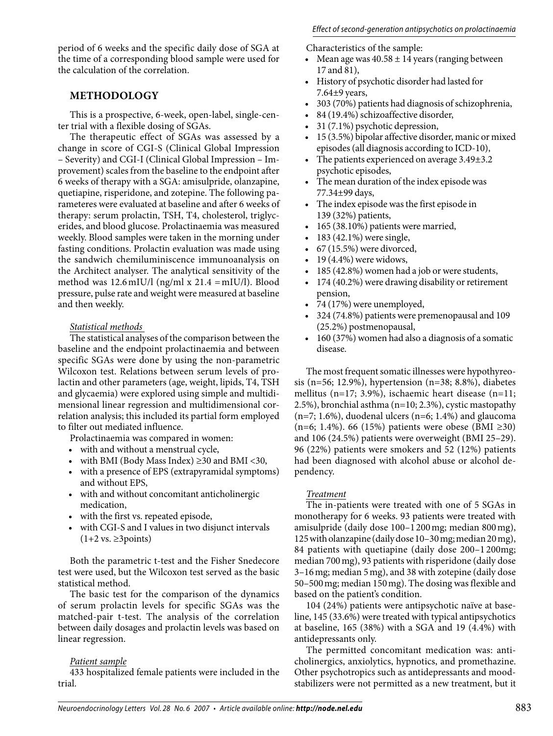period of 6 weeks and the specific daily dose of SGA at the time of a corresponding blood sample were used for the calculation of the correlation.

# **Methodology**

This is a prospective, 6-week, open-label, single-center trial with a flexible dosing of SGAs.

The therapeutic effect of SGAs was assessed by a change in score of CGI-S (Clinical Global Impression – Severity) and CGI-I (Clinical Global Impression – Improvement) scales from the baseline to the endpoint after 6 weeks of therapy with a SGA: amisulpride, olanzapine, quetiapine, risperidone, and zotepine. The following parameteres were evaluated at baseline and after 6 weeks of therapy: serum prolactin, TSH, T4, cholesterol, triglycerides, and blood glucose. Prolactinaemia was measured weekly. Blood samples were taken in the morning under fasting conditions. Prolactin evaluation was made using the sandwich chemiluminiscence immunoanalysis on the Architect analyser. The analytical sensitivity of the method was  $12.6$  mIU/l (ng/ml x  $21.4$  = mIU/l). Blood pressure, pulse rate and weight were measured at baseline and then weekly.

## *Statistical methods*

The statistical analyses of the comparison between the baseline and the endpoint prolactinaemia and between specific SGAs were done by using the non-parametric Wilcoxon test. Relations between serum levels of prolactin and other parameters (age, weight, lipids, T4, TSH and glycaemia) were explored using simple and multidimensional linear regression and multidimensional correlation analysis; this included its partial form employed to filter out mediated influence.

Prolactinaemia was compared in women:

- with and without a menstrual cycle,
- with BMI (Body Mass Index)  $\geq$  30 and BMI < 30,
- with a presence of EPS (extrapyramidal symptoms) and without EPS,
- with and without concomitant anticholinergic medication,
- with the first vs. repeated episode,
- with CGI-S and I values in two disjunct intervals  $(1+2 \text{ vs. } \geq 3 \text{ points})$

Both the parametric t-test and the Fisher Snedecore test were used, but the Wilcoxon test served as the basic statistical method.

The basic test for the comparison of the dynamics of serum prolactin levels for specific SGAs was the matched-pair t-test. The analysis of the correlation between daily dosages and prolactin levels was based on linear regression.

## *Patient sample*

433 hospitalized female patients were included in the trial.

Characteristics of the sample:

- Mean age was  $40.58 \pm 14$  years (ranging between 17 and 81),
- History of psychotic disorder had lasted for 7.64±9 years,
- 303 (70%) patients had diagnosis of schizophrenia,
- 84 (19.4%) schizoaffective disorder,
- 31 (7.1%) psychotic depression,
- 15 (3.5%) bipolar affective disorder, manic or mixed episodes (all diagnosis according to ICD-10),
- The patients experienced on average 3.49 $\pm$ 3.2 psychotic episodes,
- The mean duration of the index episode was 77.34±99 days,
- The index episode was the first episode in 139 (32%) patients,
- 165 (38.10%) patients were married,
- 183 (42.1%) were single,
- $67$  (15.5%) were divorced,
- 19 (4.4%) were widows,
- 185 (42.8%) women had a job or were students,
- 174 (40.2%) were drawing disability or retirement pension,
- 74 (17%) were unemployed,
- 324 (74.8%) patients were premenopausal and 109 (25.2%) postmenopausal,
- 160 (37%) women had also a diagnosis of a somatic disease.

The most frequent somatic illnesses were hypothyreosis (n=56; 12.9%), hypertension (n=38; 8.8%), diabetes mellitus (n=17; 3.9%), ischaemic heart disease (n=11; 2.5%), bronchial asthma (n=10; 2.3%), cystic mastopathy  $(n=7; 1.6\%)$ , duodenal ulcers  $(n=6; 1.4\%)$  and glaucoma (n=6; 1.4%). 66 (15%) patients were obese (BMI ≥30) and 106 (24.5%) patients were overweight (BMI 25–29). 96 (22%) patients were smokers and 52 (12%) patients had been diagnosed with alcohol abuse or alcohol dependency.

## *Treatment*

The in-patients were treated with one of 5 SGAs in monotherapy for 6 weeks. 93 patients were treated with amisulpride (daily dose 100–1200mg; median 800mg), 125 with olanzapine (daily dose 10–30mg; median 20mg), 84 patients with quetiapine (daily dose 200–1 200mg; median 700mg), 93 patients with risperidone (daily dose 3–16mg; median 5mg), and 38 with zotepine (daily dose 50–500mg; median 150mg). The dosing was flexible and based on the patient's condition.

104 (24%) patients were antipsychotic naïve at baseline, 145 (33.6%) were treated with typical antipsychotics at baseline, 165 (38%) with a SGA and 19 (4.4%) with antidepressants only.

The permitted concomitant medication was: anticholinergics, anxiolytics, hypnotics, and promethazine. Other psychotropics such as antidepressants and moodstabilizers were not permitted as a new treatment, but it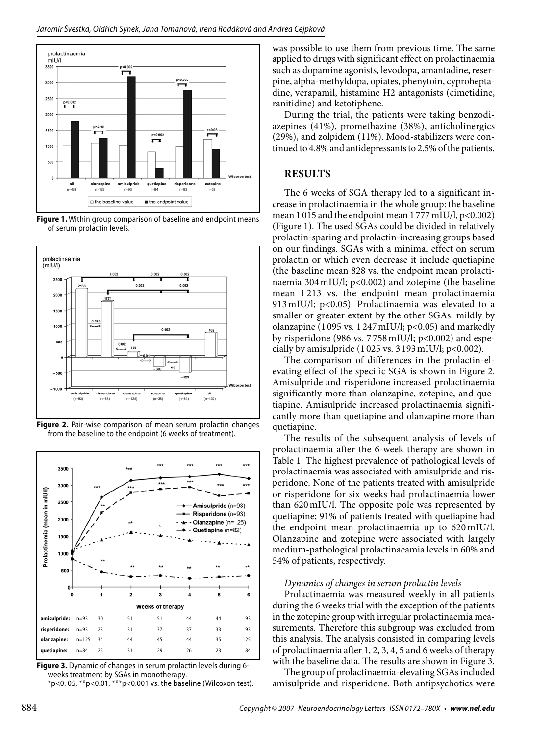

**Figure 1.** Within group comparison of baseline and endpoint means of serum prolactin levels.



**Figure 2.** Pair-wise comparison of mean serum prolactin changes from the baseline to the endpoint (6 weeks of treatment).



**Figure 3.** Dynamic of changes in serum prolactin levels during 6 weeks treatment by SGAs in monotherapy.

 $*p$ <0. 05,  $*p$ <0.01,  $**p$ <0.001 vs. the baseline (Wilcoxon test).

was possible to use them from previous time. The same applied to drugs with significant effect on prolactinaemia such as dopamine agonists, levodopa, amantadine, reserpine, alpha-methyldopa, opiates, phenytoin, cyproheptadine, verapamil, histamine H2 antagonists (cimetidine, ranitidine) and ketotiphene.

During the trial, the patients were taking benzodiazepines (41%), promethazine (38%), anticholinergics (29%), and zolpidem (11%). Mood-stabilizers were continued to 4.8% and antidepressants to 2.5% of the patients.

# **Results**

The 6 weeks of SGA therapy led to a significant increase in prolactinaemia in the whole group: the baseline mean 1015 and the endpoint mean 1777 mIU/l, p<0.002) (Figure 1). The used SGAs could be divided in relatively prolactin-sparing and prolactin-increasing groups based on our findings. SGAs with a minimal effect on serum prolactin or which even decrease it include quetiapine (the baseline mean 828 vs. the endpoint mean prolactinaemia 304mIU/l; p<0.002) and zotepine (the baseline mean 1 213 vs. the endpoint mean prolactinaemia 913mIU/l; p<0.05). Prolactinaemia was elevated to a smaller or greater extent by the other SGAs: mildly by olanzapine (1 095 vs. 1 247 mIU/l;  $p<0.05$ ) and markedly by risperidone (986 vs.  $7758$  mIU/l;  $p<0.002$ ) and especially by amisulpride  $(1025 \text{ vs. } 3193 \text{ m})$ . p<0.002).

The comparison of differences in the prolactin-elevating effect of the specific SGA is shown in Figure 2. Amisulpride and risperidone increased prolactinaemia significantly more than olanzapine, zotepine, and quetiapine. Amisulpride increased prolactinaemia significantly more than quetiapine and olanzapine more than quetiapine.

The results of the subsequent analysis of levels of prolactinaemia after the 6-week therapy are shown in Table 1. The highest prevalence of pathological levels of prolactinaemia was associated with amisulpride and risperidone. None of the patients treated with amisulpride or risperidone for six weeks had prolactinaemia lower than 620mIU/l. The opposite pole was represented by quetiapine; 91% of patients treated with quetiapine had the endpoint mean prolactinaemia up to 620 mIU/l. Olanzapine and zotepine were associated with largely medium-pathological prolactinaeamia levels in 60% and 54% of patients, respectively.

## *Dynamics of changes in serum prolactin levels*

Prolactinaemia was measured weekly in all patients during the 6 weeks trial with the exception of the patients in the zotepine group with irregular prolactinaemia measurements. Therefore this subgroup was excluded from this analysis. The analysis consisted in comparing levels of prolactinaemia after 1, 2, 3, 4, 5 and 6 weeks of therapy with the baseline data. The results are shown in Figure 3.

The group of prolactinaemia-elevating SGAs included amisulpride and risperidone. Both antipsychotics were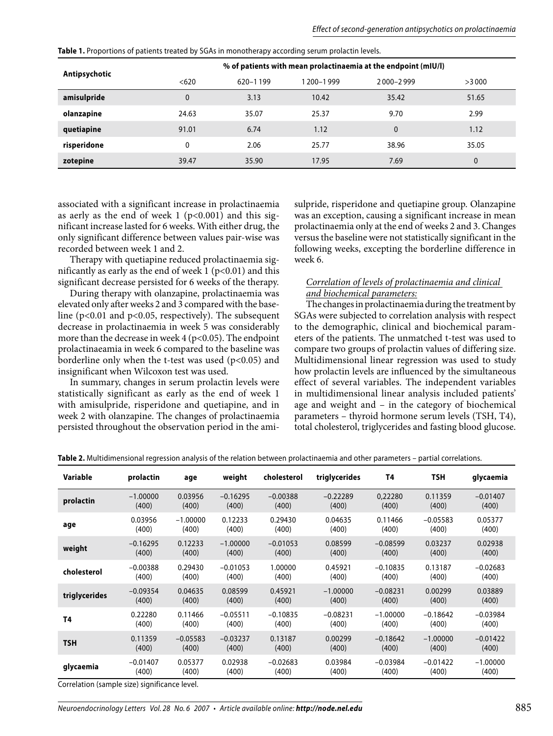|               |                                                                | . .      |             |              |       |  |  |  |
|---------------|----------------------------------------------------------------|----------|-------------|--------------|-------|--|--|--|
| Antipsychotic | % of patients with mean prolactinaemia at the endpoint (mIU/l) |          |             |              |       |  |  |  |
|               | < 620                                                          | 620-1199 | 1 200-1 999 | 2000-2999    | >3000 |  |  |  |
| amisulpride   | $\mathbf{0}$                                                   | 3.13     | 10.42       | 35.42        | 51.65 |  |  |  |
| olanzapine    | 24.63                                                          | 35.07    | 25.37       | 9.70         | 2.99  |  |  |  |
| quetiapine    | 91.01                                                          | 6.74     | 1.12        | $\mathbf{0}$ | 1.12  |  |  |  |
| risperidone   | 0                                                              | 2.06     | 25.77       | 38.96        | 35.05 |  |  |  |
| zotepine      | 39.47                                                          | 35.90    | 17.95       | 7.69         | 0     |  |  |  |

**Table 1.** Proportions of patients treated by SGAs in monotherapy according serum prolactin levels.

associated with a significant increase in prolactinaemia as aerly as the end of week 1 ( $p<0.001$ ) and this significant increase lasted for 6 weeks. With either drug, the only significant difference between values pair-wise was recorded between week 1 and 2.

Therapy with quetiapine reduced prolactinaemia significantly as early as the end of week  $1$  (p<0.01) and this significant decrease persisted for 6 weeks of the therapy.

During therapy with olanzapine, prolactinaemia was elevated only after weeks 2 and 3 compared with the baseline ( $p<0.01$  and  $p<0.05$ , respectively). The subsequent decrease in prolactinaemia in week 5 was considerably more than the decrease in week  $4$  ( $p<0.05$ ). The endpoint prolactinaeamia in week 6 compared to the baseline was borderline only when the t-test was used  $(p<0.05)$  and insignificant when Wilcoxon test was used.

In summary, changes in serum prolactin levels were statistically significant as early as the end of week 1 with amisulpride, risperidone and quetiapine, and in week 2 with olanzapine. The changes of prolactinaemia persisted throughout the observation period in the amisulpride, risperidone and quetiapine group. Olanzapine was an exception, causing a significant increase in mean prolactinaemia only at the end of weeks 2 and 3. Changes versus the baseline were not statistically significant in the following weeks, excepting the borderline difference in week 6.

## *Correlation of levels of prolactinaemia and clinical and biochemical parameters:*

The changes in prolactinaemia during the treatment by SGAs were subjected to correlation analysis with respect to the demographic, clinical and biochemical parameters of the patients. The unmatched t-test was used to compare two groups of prolactin values of differing size. Multidimensional linear regression was used to study how prolactin levels are influenced by the simultaneous effect of several variables. The independent variables in multidimensional linear analysis included patients' age and weight and – in the category of biochemical parameters – thyroid hormone serum levels (TSH, T4), total cholesterol, triglycerides and fasting blood glucose.

| Variable      | prolactin  | age        | weight     | cholesterol | triglycerides | T4         | <b>TSH</b> | glycaemia  |
|---------------|------------|------------|------------|-------------|---------------|------------|------------|------------|
| prolactin     | $-1.00000$ | 0.03956    | $-0.16295$ | $-0.00388$  | $-0.22289$    | 0,22280    | 0.11359    | $-0.01407$ |
|               | (400)      | (400)      | (400)      | (400)       | (400)         | (400)      | (400)      | (400)      |
| age           | 0.03956    | $-1.00000$ | 0.12233    | 0.29430     | 0.04635       | 0.11466    | $-0.05583$ | 0.05377    |
|               | (400)      | (400)      | (400)      | (400)       | (400)         | (400)      | (400)      | (400)      |
| weight        | $-0.16295$ | 0.12233    | $-1.00000$ | $-0.01053$  | 0.08599       | $-0.08599$ | 0.03237    | 0.02938    |
|               | (400)      | (400)      | (400)      | (400)       | (400)         | (400)      | (400)      | (400)      |
| cholesterol   | $-0.00388$ | 0.29430    | $-0.01053$ | 1.00000     | 0.45921       | $-0.10835$ | 0.13187    | $-0.02683$ |
|               | (400)      | (400)      | (400)      | (400)       | (400)         | (400)      | (400)      | (400)      |
| triglycerides | $-0.09354$ | 0.04635    | 0.08599    | 0.45921     | $-1.00000$    | $-0.08231$ | 0.00299    | 0.03889    |
|               | (400)      | (400)      | (400)      | (400)       | (400)         | (400)      | (400)      | (400)      |
| <b>T4</b>     | 0.22280    | 0.11466    | $-0.05511$ | $-0.10835$  | $-0.08231$    | $-1.00000$ | $-0.18642$ | $-0.03984$ |
|               | (400)      | (400)      | (400)      | (400)       | (400)         | (400)      | (400)      | (400)      |
| <b>TSH</b>    | 0.11359    | $-0.05583$ | $-0.03237$ | 0.13187     | 0.00299       | $-0.18642$ | $-1.00000$ | $-0.01422$ |
|               | (400)      | (400)      | (400)      | (400)       | (400)         | (400)      | (400)      | (400)      |
| glycaemia     | $-0.01407$ | 0.05377    | 0.02938    | $-0.02683$  | 0.03984       | $-0.03984$ | $-0.01422$ | $-1.00000$ |
|               | (400)      | (400)      | (400)      | (400)       | (400)         | (400)      | (400)      | (400)      |

**Table 2.** Multidimensional regression analysis of the relation between prolactinaemia and other parameters – partial correlations.

Correlation (sample size) significance level.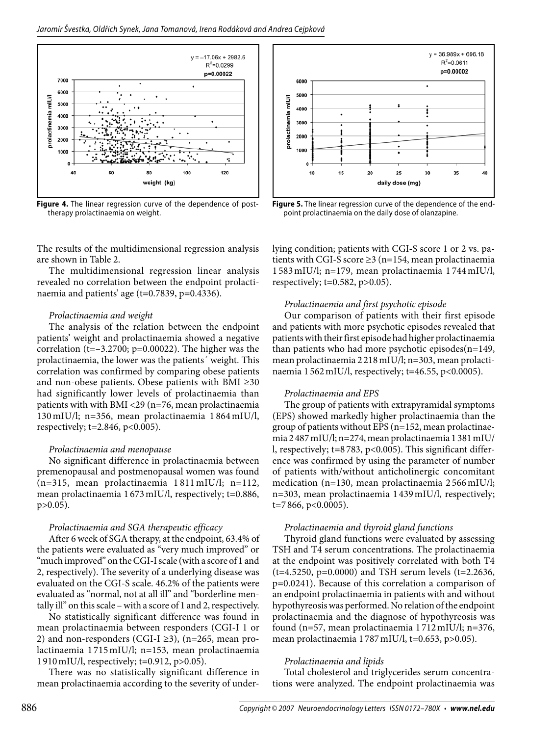

**Figure 4.** The linear regression curve of the dependence of posttherapy prolactinaemia on weight.

The results of the multidimensional regression analysis are shown in Table 2.

The multidimensional regression linear analysis revealed no correlation between the endpoint prolactinaemia and patients' age (t=0.7839, p=0.4336).

#### *Prolactinaemia and weight*

The analysis of the relation between the endpoint patients' weight and prolactinaemia showed a negative correlation (t= $-3.2700$ ; p=0.00022). The higher was the prolactinaemia, the lower was the patients´ weight. This correlation was confirmed by comparing obese patients and non-obese patients. Obese patients with BMI ≥30 had significantly lower levels of prolactinaemia than patients with with BMI <29 (n=76, mean prolactinaemia 130 mIU/l; n=356, mean prolactinaemia 1 864 mIU/l, respectively; t=2.846, p<0.005).

#### *Prolactinaemia and menopause*

No significant difference in prolactinaemia between premenopausal and postmenopausal women was found (n=315, mean prolactinaemia 1 811 mIU/l; n=112, mean prolactinaemia 1 673mIU/l, respectively; t=0.886, p>0.05).

#### *Prolactinaemia and SGA therapeutic efficacy*

After 6 week of SGA therapy, at the endpoint, 63.4% of the patients were evaluated as "very much improved" or "much improved" on the CGI-I scale (with a score of 1 and 2, respectively). The severity of a underlying disease was evaluated on the CGI-S scale. 46.2% of the patients were evaluated as "normal, not at all ill" and "borderline mentally ill" on this scale – with a score of 1 and 2, respectively.

No statistically significant difference was found in mean prolactinaemia between responders (CGI-I 1 or 2) and non-responders (CGI-I  $\geq$ 3), (n=265, mean prolactinaemia 1 715mIU/l; n=153, mean prolactinaemia 1 910mIU/l, respectively; t=0.912, p>0.05).

There was no statistically significant difference in mean prolactinaemia according to the severity of under-



**Figure 5.** The linear regression curve of the dependence of the endpoint prolactinaemia on the daily dose of olanzapine.

lying condition; patients with CGI-S score 1 or 2 vs. patients with CGI-S score ≥3 (n=154, mean prolactinaemia 1 583mIU/l; n=179, mean prolactinaemia 1 744mIU/l, respectively; t=0.582, p>0.05).

## *Prolactinaemia and first psychotic episode*

Our comparison of patients with their first episode and patients with more psychotic episodes revealed that patients with their first episode had higher prolactinaemia than patients who had more psychotic episodes(n=149, mean prolactinaemia 2 218mIU/l; n=303, mean prolactinaemia 1 562mIU/l, respectively; t=46.55, p<0.0005).

#### *Prolactinaemia and EPS*

The group of patients with extrapyramidal symptoms (EPS) showed markedly higher prolactinaemia than the group of patients without EPS (n=152, mean prolactinaemia 2 487mIU/l; n=274, mean prolactinaemia 1 381mIU/ l, respectively; t=8 783, p<0.005). This significant difference was confirmed by using the parameter of number of patients with/without anticholinergic concomitant medication (n=130, mean prolactinaemia 2 566mIU/l; n=303, mean prolactinaemia 1 439mIU/l, respectively; t=7 866, p<0.0005).

#### *Prolactinaemia and thyroid gland functions*

Thyroid gland functions were evaluated by assessing TSH and T4 serum concentrations. The prolactinaemia at the endpoint was positively correlated with both T4 (t=4.5250, p=0.0000) and TSH serum levels (t=2.2636, p=0.0241). Because of this correlation a comparison of an endpoint prolactinaemia in patients with and without hypothyreosis was performed. No relation of the endpoint prolactinaemia and the diagnose of hypothyreosis was found (n=57, mean prolactinaemia 1 712mIU/l; n=376, mean prolactinaemia 1787 mIU/l, t=0.653, p>0.05).

#### *Prolactinaemia and lipids*

Total cholesterol and triglycerides serum concentrations were analyzed. The endpoint prolactinaemia was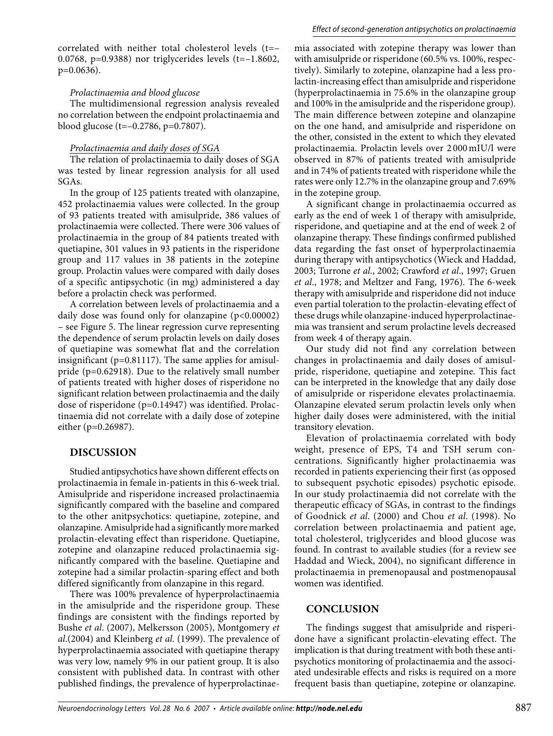correlated with neither total cholesterol levels (t=– 0.0768, p=0.9388) nor triglycerides levels (t=–1.8602, p=0.0636).

## *Prolactinaemia and blood glucose*

The multidimensional regression analysis revealed no correlation between the endpoint prolactinaemia and blood glucose (t=–0.2786, p=0.7807).

## *Prolactinaemia and daily doses of SGA*

The relation of prolactinaemia to daily doses of SGA was tested by linear regression analysis for all used SGAs.

In the group of 125 patients treated with olanzapine, 452 prolactinaemia values were collected. In the group of 93 patients treated with amisulpride, 386 values of prolactinaemia were collected. There were 306 values of prolactinaemia in the group of 84 patients treated with quetiapine, 301 values in 93 patients in the risperidone group and 117 values in 38 patients in the zotepine group. Prolactin values were compared with daily doses of a specific antipsychotic (in mg) administered a day before a prolactin check was performed.

A correlation between levels of prolactinaemia and a daily dose was found only for olanzapine (p<0.00002) – see Figure 5. The linear regression curve representing the dependence of serum prolactin levels on daily doses of quetiapine was somewhat flat and the correlation insignificant ( $p=0.81117$ ). The same applies for amisulpride (p=0.62918). Due to the relatively small number of patients treated with higher doses of risperidone no significant relation between prolactinaemia and the daily dose of risperidone (p=0.14947) was identified. Prolactinaemia did not correlate with a daily dose of zotepine either (p=0.26987).

# **Discussion**

Studied antipsychotics have shown different effects on prolactinaemia in female in-patients in this 6-week trial. Amisulpride and risperidone increased prolactinaemia significantly compared with the baseline and compared to the other anitpsychotics: quetiapine, zotepine, and olanzapine. Amisulpride had a significantly more marked prolactin-elevating effect than risperidone. Quetiapine, zotepine and olanzapine reduced prolactinaemia significantly compared with the baseline. Quetiapine and zotepine had a similar prolactin-sparing effect and both differed significantly from olanzapine in this regard.

There was 100% prevalence of hyperprolactinaemia in the amisulpride and the risperidone group. These findings are consistent with the findings reported by Bushe *et al*. (2007), Melkersson (2005), Montgomery *et al*.(2004) and Kleinberg *et al*. (1999). The prevalence of hyperprolactinaemia associated with quetiapine therapy was very low, namely 9% in our patient group. It is also consistent with published data. In contrast with other published findings, the prevalence of hyperprolactinaemia associated with zotepine therapy was lower than with amisulpride or risperidone (60.5% vs. 100%, respectively). Similarly to zotepine, olanzapine had a less prolactin-increasing effect than amisulpride and risperidone (hyperprolactinaemia in 75.6% in the olanzapine group and 100% in the amisulpride and the risperidone group). The main difference between zotepine and olanzapine on the one hand, and amisulpride and risperidone on the other, consisted in the extent to which they elevated prolactinaemia. Prolactin levels over 2 000mIU/l were observed in 87% of patients treated with amisulpride and in 74% of patients treated with risperidone while the rates were only 12.7% in the olanzapine group and 7.69% in the zotepine group.

A significant change in prolactinaemia occurred as early as the end of week 1 of therapy with amisulpride, risperidone, and quetiapine and at the end of week 2 of olanzapine therapy. These findings confirmed published data regarding the fast onset of hyperprolactinaemia during therapy with antipsychotics (Wieck and Haddad, 2003; Turrone *et al*., 2002; Crawford *et al*., 1997; Gruen *et al*., 1978; and Meltzer and Fang, 1976). The 6-week therapy with amisulpride and risperidone did not induce even partial toleration to the prolactin-elevating effect of these drugs while olanzapine-induced hyperprolactinaemia was transient and serum prolactine levels decreased from week 4 of therapy again.

Our study did not find any correlation between changes in prolactinaemia and daily doses of amisulpride, risperidone, quetiapine and zotepine. This fact can be interpreted in the knowledge that any daily dose of amisulpride or risperidone elevates prolactinaemia. Olanzapine elevated serum prolactin levels only when higher daily doses were administered, with the initial transitory elevation.

Elevation of prolactinaemia correlated with body weight, presence of EPS, T4 and TSH serum concentrations. Significantly higher prolactinaemia was recorded in patients experiencing their first (as opposed to subsequent psychotic episodes) psychotic episode. In our study prolactinaemia did not correlate with the therapeutic efficacy of SGAs, in contrast to the findings of Goodnick *et al*. (2000) and Chou *et al*. (1998). No correlation between prolactinaemia and patient age, total cholesterol, triglycerides and blood glucose was found. In contrast to available studies (for a review see Haddad and Wieck, 2004), no significant difference in prolactinaemia in premenopausal and postmenopausal women was identified.

# **Conclusion**

The findings suggest that amisulpride and risperidone have a significant prolactin-elevating effect. The implication is that during treatment with both these antipsychotics monitoring of prolactinaemia and the associated undesirable effects and risks is required on a more frequent basis than quetiapine, zotepine or olanzapine.